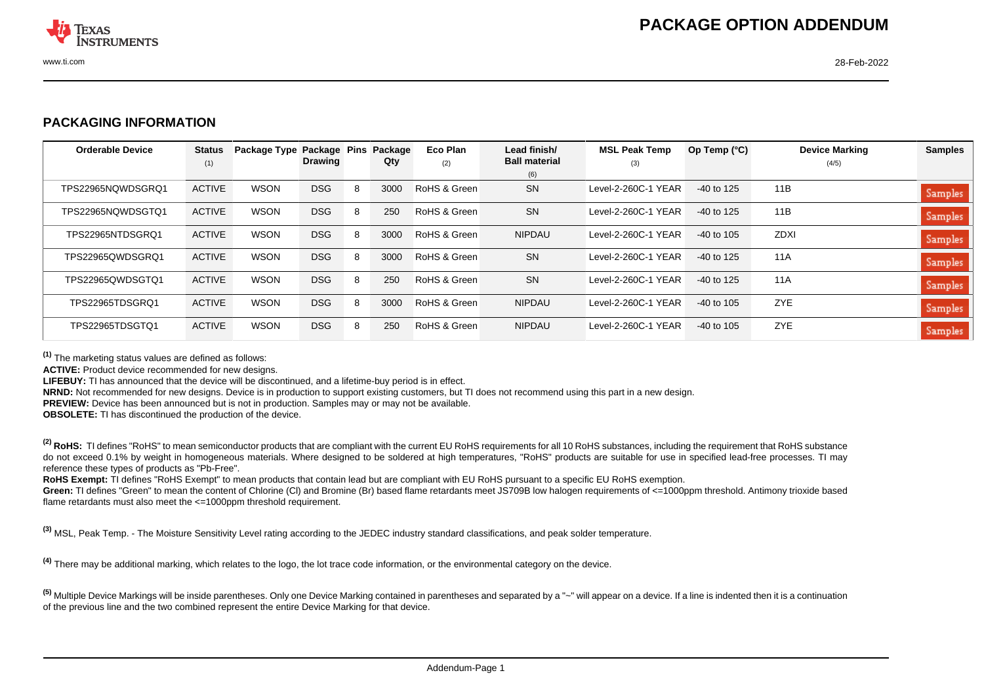

## **PACKAGING INFORMATION**

| <b>Orderable Device</b> | <b>Status</b><br>(1) | Package Type Package Pins | <b>Drawing</b> |   | Package<br>Qty | Eco Plan<br>(2) | Lead finish/<br><b>Ball material</b> | <b>MSL Peak Temp</b><br>(3) | Op Temp $(^{\circ}C)$ | <b>Device Marking</b><br>(4/5) | <b>Samples</b> |
|-------------------------|----------------------|---------------------------|----------------|---|----------------|-----------------|--------------------------------------|-----------------------------|-----------------------|--------------------------------|----------------|
|                         |                      |                           |                |   |                |                 | (6)                                  |                             |                       |                                |                |
| TPS22965NOWDSGRO1       | <b>ACTIVE</b>        | WSON                      | <b>DSG</b>     | 8 | 3000           | RoHS & Green    | <b>SN</b>                            | Level-2-260C-1 YEAR         | $-40$ to 125          | 11B                            | Samples        |
| TPS22965NOWDSGTO1       | <b>ACTIVE</b>        | <b>WSON</b>               | <b>DSG</b>     | 8 | 250            | RoHS & Green    | <b>SN</b>                            | Level-2-260C-1 YEAR         | $-40$ to 125          | 11B                            | <b>Samples</b> |
| TPS22965NTDSGRO1        | <b>ACTIVE</b>        | <b>WSON</b>               | <b>DSG</b>     | 8 | 3000           | RoHS & Green    | <b>NIPDAU</b>                        | Level-2-260C-1 YEAR         | $-40$ to 105          | <b>ZDXI</b>                    | <b>Samples</b> |
| TPS22965QWDSGRQ1        | <b>ACTIVE</b>        | <b>WSON</b>               | <b>DSG</b>     | 8 | 3000           | RoHS & Green    | SN                                   | Level-2-260C-1 YEAR         | $-40$ to 125          | 11A                            | Samples        |
| TPS22965QWDSGTQ1        | <b>ACTIVE</b>        | WSON                      | <b>DSG</b>     | 8 | 250            | RoHS & Green    | <b>SN</b>                            | Level-2-260C-1 YEAR         | $-40$ to 125          | 11A                            | <b>Samples</b> |
| TPS22965TDSGRO1         | <b>ACTIVE</b>        | <b>WSON</b>               | <b>DSG</b>     | 8 | 3000           | RoHS & Green    | <b>NIPDAU</b>                        | Level-2-260C-1 YEAR         | $-40$ to 105          | ZYE                            | <b>Samples</b> |
| TPS22965TDSGTQ1         | <b>ACTIVE</b>        | WSON                      | <b>DSG</b>     | 8 | 250            | RoHS & Green    | <b>NIPDAU</b>                        | Level-2-260C-1 YEAR         | $-40$ to 105          | ZYE                            | <b>Samples</b> |

**(1)** The marketing status values are defined as follows:

**ACTIVE:** Product device recommended for new designs.

**LIFEBUY:** TI has announced that the device will be discontinued, and a lifetime-buy period is in effect.

**NRND:** Not recommended for new designs. Device is in production to support existing customers, but TI does not recommend using this part in a new design.

**PREVIEW:** Device has been announced but is not in production. Samples may or may not be available.

**OBSOLETE:** TI has discontinued the production of the device.

<sup>(2)</sup> RoHS: TI defines "RoHS" to mean semiconductor products that are compliant with the current EU RoHS requirements for all 10 RoHS substances, including the requirement that RoHS substance do not exceed 0.1% by weight in homogeneous materials. Where designed to be soldered at high temperatures, "RoHS" products are suitable for use in specified lead-free processes. TI may reference these types of products as "Pb-Free".

RoHS Exempt: TI defines "RoHS Exempt" to mean products that contain lead but are compliant with EU RoHS pursuant to a specific EU RoHS exemption.

Green: TI defines "Green" to mean the content of Chlorine (CI) and Bromine (Br) based flame retardants meet JS709B low halogen requirements of <=1000ppm threshold. Antimony trioxide based flame retardants must also meet the <=1000ppm threshold requirement.

**(3)** MSL, Peak Temp. - The Moisture Sensitivity Level rating according to the JEDEC industry standard classifications, and peak solder temperature.

**(4)** There may be additional marking, which relates to the logo, the lot trace code information, or the environmental category on the device.

<sup>(5)</sup> Multiple Device Markings will be inside parentheses. Only one Device Marking contained in parentheses and separated by a "~" will appear on a device. If a line is indented then it is a continuation of the previous line and the two combined represent the entire Device Marking for that device.